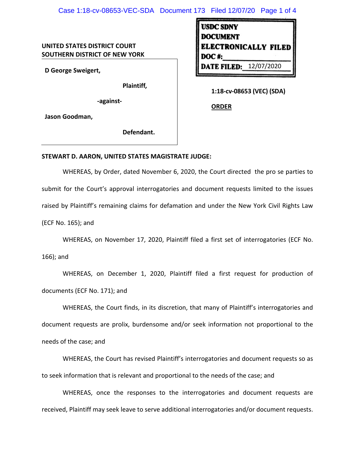## Case 1:18-cv-08653-VEC-SDA Document 173 Filed 12/07/20 Page 1 of 4

## **UNITED STATES DISTRICT COURT SOUTHERN DISTRICT OF NEW YORK**

**D George Sweigert,** 

**Plaintiff,**

**-against-**

**Jason Goodman,** 

**Defendant.**

| <b>USDC SDNY</b>              |  |
|-------------------------------|--|
| <b>DOCUMENT</b>               |  |
| <b>ELECTRONICALLY FILED</b>   |  |
| DOC#:                         |  |
| <b>DATE FILED: 12/07/2020</b> |  |
|                               |  |

**1:18-cv-08653 (VEC) (SDA)**

**ORDER** 

## **STEWART D. AARON, UNITED STATES MAGISTRATE JUDGE:**

WHEREAS, by Order, dated November 6, 2020, the Court directed the pro se parties to submit for the Court's approval interrogatories and document requests limited to the issues raised by Plaintiff's remaining claims for defamation and under the New York Civil Rights Law (ECF No. 165); and

WHEREAS, on November 17, 2020, Plaintiff filed a first set of interrogatories (ECF No.

166); and

WHEREAS, on December 1, 2020, Plaintiff filed a first request for production of documents (ECF No. 171); and

WHEREAS, the Court finds, in its discretion, that many of Plaintiff's interrogatories and document requests are prolix, burdensome and/or seek information not proportional to the needs of the case; and

WHEREAS, the Court has revised Plaintiff's interrogatories and document requests so as to seek information that is relevant and proportional to the needs of the case; and

WHEREAS, once the responses to the interrogatories and document requests are received, Plaintiff may seek leave to serve additional interrogatories and/or document requests.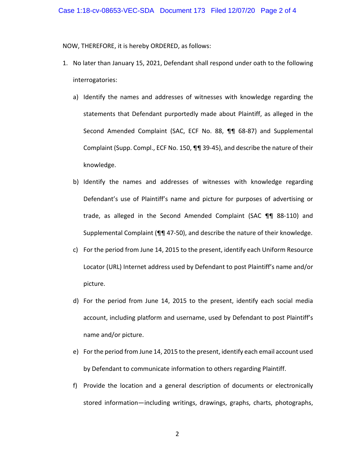NOW, THEREFORE, it is hereby ORDERED, as follows:

- 1. No later than January 15, 2021, Defendant shall respond under oath to the following interrogatories:
	- a) Identify the names and addresses of witnesses with knowledge regarding the statements that Defendant purportedly made about Plaintiff, as alleged in the Second Amended Complaint (SAC, ECF No. 88, ¶¶ 68-87) and Supplemental Complaint (Supp. Compl., ECF No. 150, ¶¶ 39-45), and describe the nature of their knowledge.
	- b) Identify the names and addresses of witnesses with knowledge regarding Defendant's use of Plaintiff's name and picture for purposes of advertising or trade, as alleged in the Second Amended Complaint (SAC ¶¶ 88-110) and Supplemental Complaint (¶¶ 47-50), and describe the nature of their knowledge.
	- c) For the period from June 14, 2015 to the present, identify each Uniform Resource Locator (URL) Internet address used by Defendant to post Plaintiff's name and/or picture.
	- d) For the period from June 14, 2015 to the present, identify each social media account, including platform and username, used by Defendant to post Plaintiff's name and/or picture.
	- e) For the period from June 14, 2015 to the present, identify each email account used by Defendant to communicate information to others regarding Plaintiff.
	- f) Provide the location and a general description of documents or electronically stored information—including writings, drawings, graphs, charts, photographs,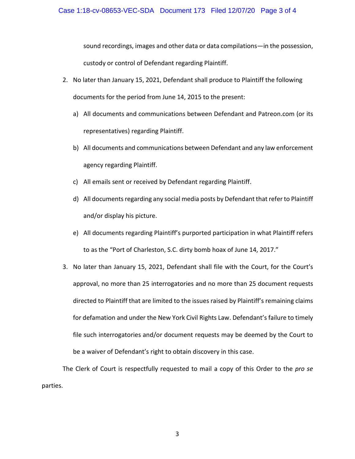sound recordings, images and other data or data compilations—in the possession,

custody or control of Defendant regarding Plaintiff.

- 2. No later than January 15, 2021, Defendant shall produce to Plaintiff the following documents for the period from June 14, 2015 to the present:
	- a) All documents and communications between Defendant and Patreon.com (or its representatives) regarding Plaintiff.
	- b) All documents and communications between Defendant and any law enforcement agency regarding Plaintiff.
	- c) All emails sent or received by Defendant regarding Plaintiff.
	- d) All documents regarding any social media posts by Defendant that refer to Plaintiff and/or display his picture.
	- e) All documents regarding Plaintiff's purported participation in what Plaintiff refers to as the "Port of Charleston, S.C. dirty bomb hoax of June 14, 2017."
- 3. No later than January 15, 2021, Defendant shall file with the Court, for the Court's approval, no more than 25 interrogatories and no more than 25 document requests directed to Plaintiff that are limited to the issues raised by Plaintiff's remaining claims for defamation and under the New York Civil Rights Law. Defendant's failure to timely file such interrogatories and/or document requests may be deemed by the Court to be a waiver of Defendant's right to obtain discovery in this case.

The Clerk of Court is respectfully requested to mail a copy of this Order to the *pro se* parties.